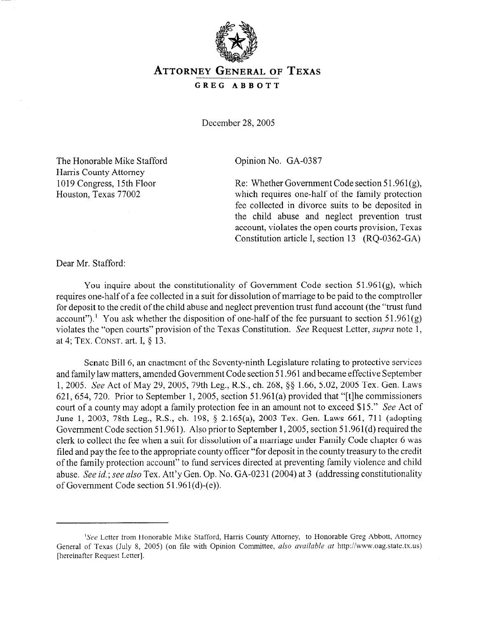

## **ATTORNEY GENERAL OF TEXAS**

**GREG ABBOTT** 

December 28,2005

The Honorable Mike Stafford Harris County Attorney 1019 Congress, 15th Floor Houston, Texas 77002

Opinion No. GA-0387

Re: Whether Government Code section  $51.961(g)$ , which requires one-half of the family protection fee collected in divorce suits to be deposited in the child abuse and neglect prevention trust account, violates the open courts provision, Texas Constitution article I, section 13 (RQ-0362-GA)

Dear Mr. Stafford:

You inquire about the constitutionality of Government Code section  $51.961(g)$ , which requires one-half of a fee collected in a suit for dissolution of marriage to be paid to the comptroller for deposit to the credit of the child abuse and neglect prevention trust fund account (the "trust fund account").<sup>1</sup> You ask whether the disposition of one-half of the fee pursuant to section 51.961(g) violates the "open courts" provision of the Texas Constitution. See Request Letter, *supra* note 1, at 4; TEX. CONST. art. I, § 13.

Senate Bill 6, an enactment of the Seventy-ninth Legislature relating to protective services and family law matters, amended Government Code section 5 1.961 and became effective September 1, 2005. See Act of May 29, 2005, 79th Leg., R.S., ch. 268, \$5 1.66, 5.02, 2005 Tex. Gen. Laws 621, 654, 720. Prior to September 1, 2005, section 51.961(a) provided that "[t] he commissioners court of a county may adopt a family protection fee in an amount not to exceed \$15." See Act of June 1, 2003, 78th Leg., R.S., ch. 198, § 2.165(a), 2003 Tex. Gen. Laws 661, 711 (adopting Government Code section 51.961). Also prior to September 1, 2005, section 51.961(d) required the clerk to collect the fee when a suit for dissolution of a marriage under Family Code chapter 6 was filed and pay the fee to the appropriate county officer "for deposit in the county treasury to the credit of the family protection account" to fund services directed at preventing family violence and child abuse. See *id.;* see *also* Tex. Att'y Gen. Op. No. GA-023 1 (2004) at 3 (addressing constitutionality of Government Code section 51.961(d)-(e)).

<sup>&</sup>lt;sup>1</sup>See Letter from Honorable Mike Stafford, Harris County Attorney, to Honorable Greg Abbott, Attorney General of Texas (July 8, 2005) (on file with Opinion Committee, *also available at* http://www.oag.state.tx.us) [hereinafter Request Letter].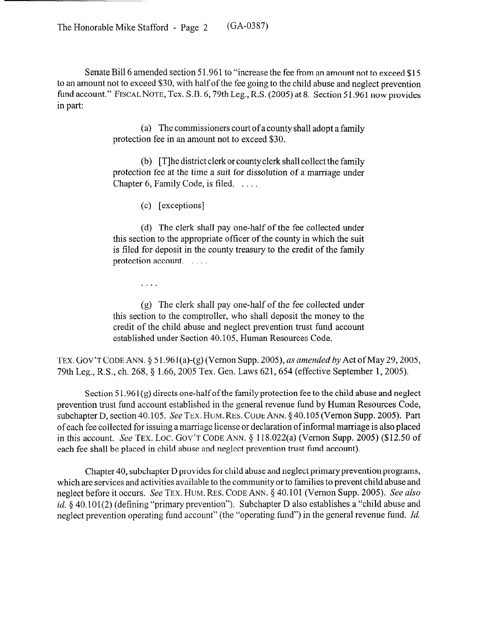The Honorable Mike Stafford - Page 2 (GA-0387)

Senate Bill 6 amended section 51.961 to "increase the fee from an amount not to exceed \$15 to an amount not to exceed \$30, with half of the fee going to the child abuse and neglect prevention fund account." FISCAL NOTE, Tex. S.B. 6, 79th Leg., R.S. (2005) at 8. Section 51.961 now provides in part:

> (a) The commissioners court of a county shall adopt a family protection fee in an amount not to exceed \$30.

> (b) [T]he district clerk or county clerk shall collect the family protection fee at the time a suit for dissolution of a marriage under Chapter 6, Family Code, is filed. ...

> > (c) [exceptions]

(d) The clerk shall pay one-half of the fee collected under this section to the appropriate officer of the county in which the suit is filed for deposit in the county treasury to the credit of the family protection account. . . . . .

 $\ldots$  .

(g) The clerk shall pay one-half of the fee collected under this section to the comptroller, who shall deposit the money to the credit of the child abuse and neglect prevention trust fund account established under Section 40.105, Human Resources Code.

TEX. GOV'T CODE ANN. § 51.961(a)-(g) (Vernon Supp. 2005), *as amended by* Act of May 29, 2005, 79th Leg., R.S., ch. 268, § 1.66, 2005 Tex. Gen. Laws 621, 654 (effective September 1, 2005).

Section  $51.961(g)$  directs one-half of the family protection fee to the child abuse and neglect prevention trust fund account established in the general revenue fund by Human Resources Code, subchapter D, section 40.105. See TEX. HUM. RES. CODE ANN. § 40.105 (Vernon Supp. 2005). Part of each fee collected for issuing a marriage license or declaration of informal marriage is also placed in this account. See TEX. LOC. GOV'T CODE ANN.  $\S$  118.022(a) (Vernon Supp. 2005) (\$12.50 of each fee shall be placed in child abuse and neglect prevention trust fund account).

Chapter 40, subchapter D provides for child abuse and neglect primary prevention programs, which are services and activities available to the community or to families to prevent child abuse and neglect before it occurs. See TEX. HUM. RES. CODE ANN. § 40.101 (Vernon Supp. 2005). See also *id.*  $\delta$  40.101(2) (defining "primary prevention"). Subchapter D also establishes a "child abuse and neglect prevention operating fund account" (the "operating fund") in the general revenue fund. *Id.*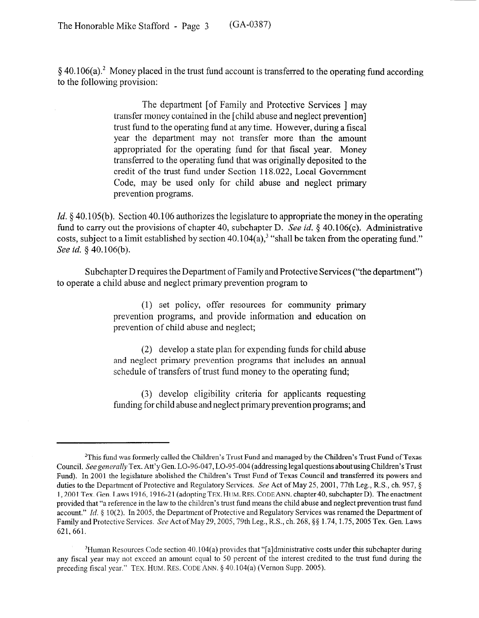$§$  40.106(a).<sup>2</sup> Money placed in the trust fund account is transferred to the operating fund according to the following provision:

> The department [of Family and Protective Services ] may transfer money contained in the [child abuse and neglect prevention] trust fund to the operating fund at any time. However, during a fiscal year the department may not transfer more than the amount appropriated for the operating fund for that fiscal year. Money transferred to the operating fund that was originally deposited to the credit of the trust fund under Section 118.022, Local Government Code, may be used only for child abuse and neglect primary prevention programs.

*Id.* § 40.105(b). Section 40.106 authorizes the legislature to appropriate the money in the operating fund to carry out the provisions of chapter 40, subchapter D. See id. § 40.106(c). Administrative costs, subject to a limit established by section  $40.104(a)$ ,<sup>3</sup> "shall be taken from the operating fund." *See id.* § 40.106(b).

Subchapter D requires the Department of Family and Protective Services ("the department") to operate a child abuse and neglect primary prevention program to

> (1) set policy, offer resources for community primary prevention programs, and provide information and education on prevention of child abuse and neglect;

> (2) develop a state plan for expending funds for child abuse and neglect primary prevention programs that includes an annual schedule of transfers of trust fund money to the operating fund;

> (3) develop eligibility criteria for applicants requesting funding for child abuse and neglect primary prevention programs; and

 $^{2}$ This fund was formerly called the Children's Trust Fund and managed by the Children's Trust Fund of Texas Council. See generally Tex. Att'y Gen. LO-96-047, LO-95-004 (addressing legal questions about using Children's Trust Fund). In 2001 the legislature abolished the Children's Trust Fund of Texas Council and transferred its powers and duties to the Department of Protective and Regulatory Services. See Act of May 25, 2001, 77th Leg., R.S., ch. 957, § 1,200l Tex. Gen. Laws 1916,1916-21 (adopting TEX. HUM. RES. CODEANN. chapter40, subchapter D). The enactment provided that "a reference in the law to the children's trust fund means the child abuse and neglect prevention trust fund account." Id.  $\S 10(2)$ . In 2005, the Department of Protective and Regulatory Services was renamed the Department of Family and Protective Services. See Act of May 29, 2005, 79th Leg., R.S., ch. 268, §§ 1.74, 1.75, 2005 Tex. Gen. Laws 621, 661.

<sup>&</sup>lt;sup>3</sup>Human Resources Code section 40.104(a) provides that "[a]dministrative costs under this subchapter during any fiscal year may not exceed an amount equal to 50 percent of the interest credited to the trust fund during the preceding fiscal year." TEX. HUM. RES. CODE ANN. § 40.104(a) (Vernon Supp. 2005).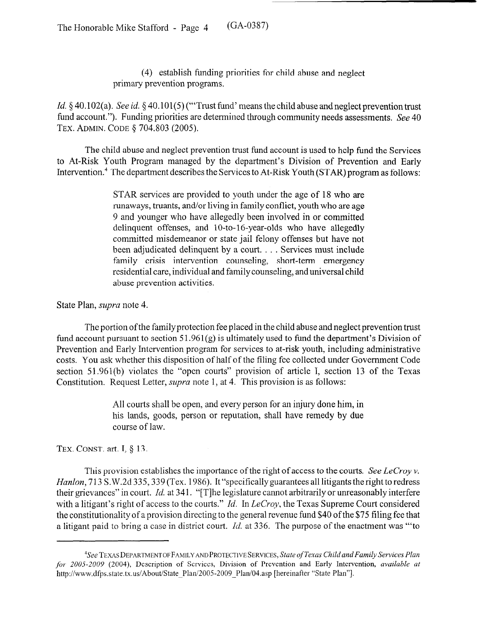(4) establish funding priorities for child abuse and neglect primary prevention programs.

Id. § 40.102(a). See *id.* § 40.101(5) ("Trust fund' means the child abuse and neglect prevention trust fund account."). Funding priorities are determined through community needs assessments. See 40 TEX. ADMIN. CODE § 704.803 (2005).

The child abuse and neglect prevention trust fund account is used to help fund the Services to At-Risk Youth Program managed by the department's Division of Prevention and Early Intervention.<sup>4</sup> The department describes the Services to At-Risk Youth (STAR) program as follows:

> STAR services are provided to youth under the age of 18 who are runaways, truants, and/or living in family conflict, youth who are age 9 and younger who have allegedly been involved in or committed delinquent offenses, and  $10$ -to- $16$ -vear-olds who have allegedly committed misdemeanor or state jail felony offenses but have not been adjudicated delinquent by a court. . . . Services must include family crisis intervention counseling, short-term emergency residential care, individual and family counseling, and universal child abuse prevention activities.

State Plan, *supra* note 4.

The portion of the family protection fee placed in the child abuse and neglect prevention trust fund account pursuant to section  $51.961(g)$  is ultimately used to fund the department's Division of Prevention and Early Intervention program for services to at-risk youth, including administrative costs. You ask whether this disposition of half of the filing fee collected under Government Code section 51.961(b) violates the "open courts" provision of article I, section 13 of the Texas Constitution. Request Letter, *supra* note 1, at 4. This provision is as follows:

> All courts shall be open, and every person for an injury done him, in his lands, goods, person or reputation, shall have remedy by due course of law.

TEX. CONST. art. I, § 13.

This provision establishes the importance of the right of access to the courts. See LeCroy  $\nu$ . *Hanlon,* 713 S.W.2d 335, 339 (Tex. 1986). It "specifically guarantees all litigants the right to redress their grievances" in court. Id. at 341. "[T] he legislature cannot arbitrarily or unreasonably interfere with a litigant's right of access to the courts." *Id.* In *LeCroy*, the Texas Supreme Court considered the constitutionality of a provision directing to the general revenue fund \$40 of the \$75 filing fee that a litigant paid to bring a case in district court. *Id.* at 336. The purpose of the enactment was "to

<sup>&</sup>lt;sup>4</sup>See TEXAS DEPARTMENT OF FAMILY AND PROTECTIVE SERVICES, State of Texas Child and Family Services Plan *for* 2005-2009 (2004), Description of Services, Division of Prevention and Early Intervention, *available at*  http://www.dfps.state.tx.us/About/State\_Plan/2005-2009\_Plan/04.asp [hereinafter "State Plan"].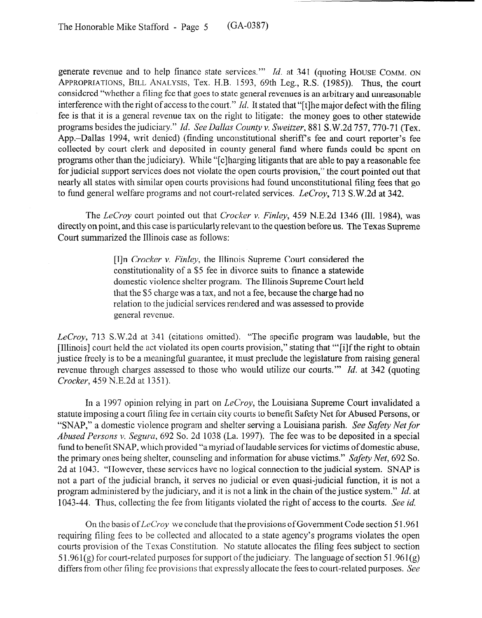generate revenue and to help finance state services."' *Id.* at 341 (quoting HOUSE **COMM. ON APPROPRIATIONS, BILL ANALYSIS,** Tex. H.B. 1593, 69th Leg., R.S. (1985)). Thus, the court considered "whether a filing fee that goes to state general revenues is an arbitrary and unreasonable interference with the right of access to the court." Id. It stated that "[t] he major defect with the filing fee is that it is a general revenue tax on the right to litigate: the money goes to other statewide programs besides the judiciary." *Id. See Dallas County v. Sweitzer*, 881 S.W.2d 757, 770-71 (Tex. App.-Dallas 1994, writ denied) (finding unconstitutional sheriff's fee and court reporter's fee collected by court clerk and deposited in county general fund where funds could be spent on programs other than the judiciary). While "[clharging litigants that are able to pay a reasonable fee for judicial support services does not violate the open courts provision," the court pointed out that nearly all states with similar open **courts** provisions had found unconstitutional tiling fees that go to fund general welfare programs and not court-related services. LeCroy, 713 S.W.2d at 342.

The *LeCroy* court pointed out that *Cracker* v. *Finley, 459* N.E.2d 1346 (Ill. 1984), was directly on point, and this case is particularly relevant to the question before us. The Texas Supreme Court summarized the Illinois case as follows:

> [I]n *Cracker v. Finley,* the Illinois Supreme Court considered the constitutionality of a \$5 fee in divorce suits to finance a statewide domestic violence shelter program. The Illinois Supreme Court held that the \$5 charge was a tax, and not a fee, because the charge had no relation to the judicial services rendered and was assessed to provide general revenue.

*LeCroy,* 713 S.W.2d at 341 (citations omitted). "The specific program was laudable, but the [Illinois] court held the act violated its open courts provision," stating that "'[ilf the right to obtain justice freely is to be a meaningful guarantee, it must preclude the legislature from raising general revenue through charges assessed to those who would utilize our courts."' *Id.* at 342 (quoting *Cracker, 459* N.E.2d at 1351).

In a 1997 opinion relying in part on *LeCroy,* the Louisiana Supreme Court invalidated a statute imposing a court filing fee in certain city courts to benefit Safety Net for Abused Persons, or "SNAP," a domestic violence program and shelter serving a Louisiana parish. See Safety Net for *Abused Persons* v. *Segura,* 692 So. 2d 1038 (La. 1997). The fee was to be deposited in a special fund to benefit SNAP, which provided "a myriad of laudable services for victims of domestic abuse, the primary ones being shelter, counseling and information for abuse victims." Safety *Net, 692 So.*  2d at 1043. "However, these services have no logical connection to the judicial system. SNAP is not a part of the judicial branch, it serves no judicial or even quasi-judicial function, it is not a program administered by the judiciary, and it is not a link in the chain of the justice system." *Id.* at 1043-44. Thus, collecting the fee from litigants violated the right of access to the courts. See *id.* 

On the basis of *LcCroy* we conclude that the provisions of Government Code section 5 1.961 requiring filing fees to be collected and allocated to a state agency's programs violates the open courts provision of the Texas Constitution. No statute allocates the filing fees subject to section 5 1.961(g) for court-related purposes for support of the judiciary. The language of section 51.961(g) differs from other filing fee provisions that expressly allocate the fees to court-related purposes. See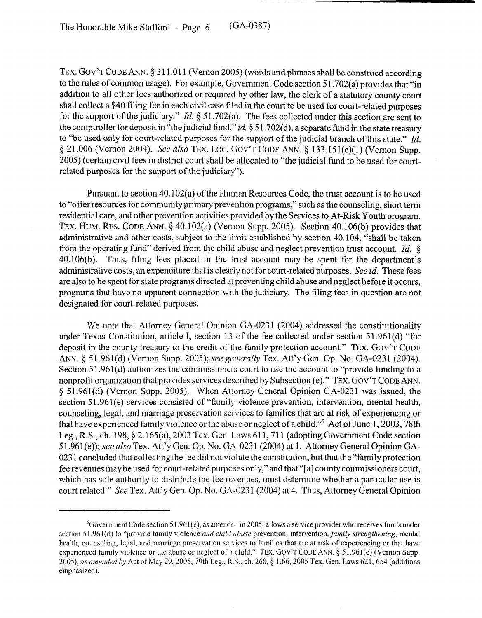TEX. GOV'T CODE ANN. § 311.011 (Vernon 2005) (words and phrases shall be construed according to the rules of common usage). For example, Government Code section 5 1.702(a) provides that "in addition to all other fees authorized or required by other law, the clerk of a statutory county court shall collect a \$40 filing fee in each civil case filed in the court to be used for court-related purposes for the support of the judiciary." *Id.* § 51.702(a). The fees collected under this section are sent to the comptroller for deposit in "the judicial fund," *id.* § 51.702(d), a separate fund in the state treasury to "be used only for court-related purposes for the support of the judicial branch of this state." *Id.*  4 21.006 (Vernon 2004). See also **TEX.** Lot. **GOV'T CODE ANN.** 3 133.15 l(c)( 1) (Vernon Supp. 2005) (certain civil fees in district court shall be allocated to "the judicial fund to be used for courtrelated purposes for the support of the judiciary").

Pursuant to section 40.102(a) of the Human Resources Code, the trust account is to be used to "offer resources for community primary prevention programs," such as the counseling, short term residential care, and other prevention activities provided by the Services to At-Risk Youth program. TEX. HUM. RES. CODE ANN. § 40.102(a) (Vernon Supp. 2005). Section 40.106(b) provides that administrative and other costs, subject to the limit established by section 40.104, "shall be taken from the operating fund" derived from the child abuse and neglect prevention trust account. *Id. \$j*  40.106(b). Thus, filing fees placed in the trust account may be spent for the department's administrative costs, an expenditure that is clearly not for court-related purposes. See *id.* These fees are also to be spent for state programs directed at preventing child abuse and neglect before it occurs, programs that have no apparent connection with the judiciary. The filing fees in question are not designated for court-related purposes.

We note that Attorney General Opinion GA-0231 (2004) addressed the constitutionality under Texas Constitution, article I, section 13 of the fee collected under section 51.961(d) "for deposit in the county treasury to the credit of the family protection account." **TEX. GOV'T CODE**  ANN. § 51.961(d) (Vernon Supp. 2005); see generally Tex. Att'y Gen. Op. No. GA-0231 (2004). Section 51.961(d) authorizes the commissioners court to use the account to "provide funding to a nonprofit organization that provides services described by Subsection (e)." TEX. GOV'T CODE ANN.  $§$  51.961(d) (Vernon Supp. 2005). When Attorney General Opinion GA-0231 was issued, the section 51.961(e) services consisted of "family violence prevention, intervention, mental health, counseling, legal, and marriage preservation services to families that are at risk of experiencing or that have experienced family violence or the abuse or neglect of a child."5 Act of June 1,2003,78th Leg., R.S., ch. 198, § 2.165(a), 2003 Tex. Gen. Laws 611, 711 (adopting Government Code section  $51.961(e)$ ; see also Tex. Att'y Gen. Op. No. GA-0231 (2004) at 1. Attorney General Opinion GA-0231 concluded that collecting the fee did not violate the constitution, but that the "family protection" fee revenues maybe used for court-related purposes only," and that "[a] county commissioners court, which has sole authority to distribute the fee revenues, must determine whether a particular use is court related." See Tex. Att'y Gen. Op. No. **GA-023** 1 (2004) at 4. Thus, Attorney General Opinion

 ${}^{5}$ Government Code section 51.961(e), as amended in 2005, allows a service provider who receives funds under section 51.961(d) to "provide family violence *and child abuse* prevention, intervention, *family strengthening*, mental health, counseling, legal, and marriage preservation services to families that are at risk of experiencing or that have experienced family violence or the abuse or neglect of a child." TEX. GOV'T CODE ANN. \$ 5 1.961(e) (Vernon Supp. 2005), *as amended by* Act of May 29, 2005, 79th Leg., R.S., ch. 268, § 1.66, 2005 Tex. Gen. Laws 621, 654 (additions emphasized).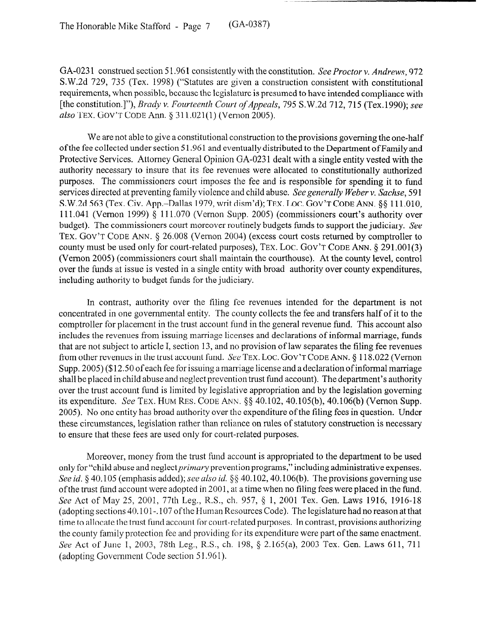The Honorable Mike Stafford - Page 7 (GA-0387)

GA-0231 construed section 51.961 consistently with the constitution. See Proctor v. Andrews, 972 S.W.2d 729, 735 (Tex. 1998) ("Statutes are given a construction consistent with constitutional requirements, when possible, because the legislature is presumed to have intended compliance with [the constitution.]"), *Brady v. Fourteenth Court of Appeals, 795 S.* W.2d 712,7 15 (Tex. 1990); see also TEX. GOV'T CODE Ann. § 311.021(1) (Vernon 2005).

We are not able to give a constitutional construction to the provisions governing the one-half of the fee collected under section 51.961 and eventually distributed to the Department of Family and Protective Services. Attorney General Opinion GA-023 1 dealt with a single entity vested with the authority necessary to insure that its fee revenues were allocated to constitutionally authorized purposes. The commissioners court imposes the fee and is responsible for spending it to fund services directed at preventing family violence and child abuse. See generally Weber v. *Sachse, 59* 1 S.W.2d 563 (Tex. Civ. App.-Dallas 1979, writ dism'd); TEX. LOC. GOV'T CODE ANN.  $\S$ § 111.010, 111.041 (Vernon 1999) 4 111.070 (Vernon Supp. 2005) (commissioners court's authority over budget). The commissioners court moreover routinely budgets funds to support the judiciary. See TEX. GOV'T CODE ANN. § 26.008 (Vernon 2004) (excess court costs returned by comptroller to county must be used only for court-related purposes), TEX. LOC. GOV'T CODE ANN. § 291.001(3) (Vernon 2005) (commissioners court shall maintain the courthouse). At the county level, control over the funds at issue is vested in a single entity with broad authority over county expenditures, including authority to budget funds for the judiciary.

In contrast, authority over the filing fee revenues intended for the department is not concentrated in one governmental entity. The county collects the fee and transfers half of it to the comptroller for placement in the trust account fund in the general revenue fund. This account also includes the revenues from issuing marriage licenses and declarations of informal marriage, funds that are not subject to article I, section 13, and no provision of law separates the filing fee revenues from other revenues in the trust account fund. See **TEX.** LOC. GOV'T CODE ANN. 5 118.022 (Vernon Supp. 2005) (\$12.50 of each fee for issuing a marriage license and a declaration of informal marriage shall be placed in child abuse and neglect prevention trust fund account). The department's authority over the trust account fund is limited by legislative appropriation and by the legislation governing its expenditure. See TEX. HUM RES. **CODE** ANN. \$5 40.102, 40.105(b), 40.106(b) (Vernon Supp. 2005). No one entity has broad authority over the expenditure of the filing fees in question. Under these circumstances, legislation rather than reliance on rules of statutory construction is necessary to ensure that these fees are used only for court-related purposes.

Moreover, money from the trust fund account is appropriated to the department to be used only for "child abuse and neglect *primary* prevention programs," including administrative expenses. See *id.* § 40.105 (emphasis added); see also *id.* § § 40.102, 40.106(b). The provisions governing use of the trust fund account were adopted in 2001, at a time when no filing fees were placed in the fund. See Act of May 25, 2001, 77th Leg., R.S., ch. 957, § 1, 2001 Tex. Gen. Laws 1916, 1916-18 (adopting sections 40.101-. 107 ofthe Human Resources Code). The legislature had no reason at that time to allocate the trust fund account for court-related purposes. In contrast, provisions authorizing the county family protection fee and providing for its expenditure were part of the same enactment. See Act of June 1, 2003, 78th Leg., R.S., ch. 198, § 2.165(a), 2003 Tex. Gen. Laws 611, 711 (adopting Government Code section 51.961).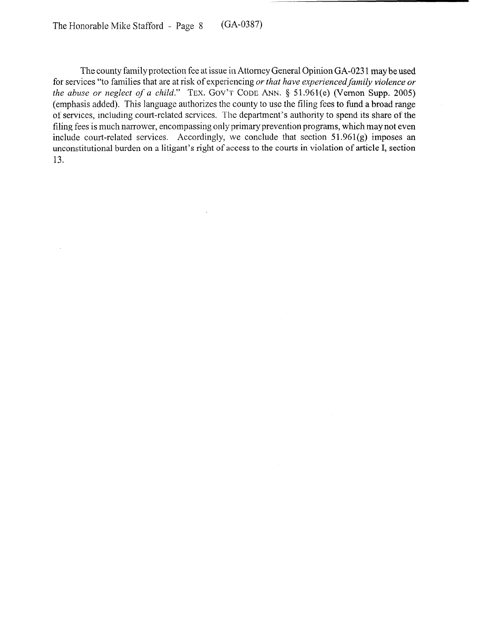The county family protection fee at issue in Attorney General Opinion GA-023 1 may be used for services "to families that are at risk of experiencing *or that have experienced family violence or the abuse or neglect of a child.*" TEX. GOV'T CODE ANN. § 51.961(e) (Vernon Supp. 2005) (emphasis added). This language authorizes the county to use the filing fees to fund a broad range of services, including court-related services. The department's authority to spend its share of the filing fees is much narrower, encompassing only primary prevention programs, which may not even include court-related services. Accordingly, we conclude that section  $51.961(g)$  imposes an unconstitutional burden on a litigant's right of access to the courts in violation of article I, section 13.